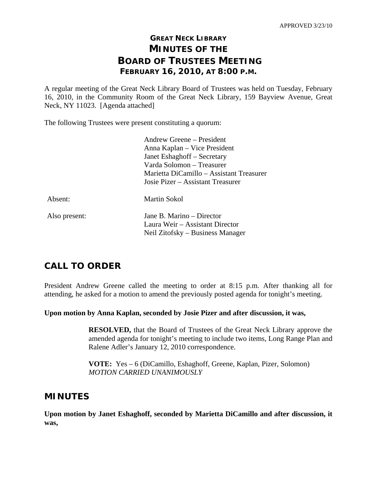# **GREAT NECK LIBRARY MINUTES OF THE BOARD OF TRUSTEES MEETING FEBRUARY 16, 2010, AT 8:00 P.M.**

A regular meeting of the Great Neck Library Board of Trustees was held on Tuesday, February 16, 2010, in the Community Room of the Great Neck Library, 159 Bayview Avenue, Great Neck, NY 11023. [Agenda attached]

The following Trustees were present constituting a quorum:

|               | Andrew Greene – President                |
|---------------|------------------------------------------|
|               | Anna Kaplan – Vice President             |
|               | Janet Eshaghoff – Secretary              |
|               | Varda Solomon – Treasurer                |
|               | Marietta DiCamillo – Assistant Treasurer |
|               | Josie Pizer – Assistant Treasurer        |
| Absent:       | Martin Sokol                             |
| Also present: | Jane B. Marino – Director                |
|               | Laura Weir - Assistant Director          |
|               | Neil Zitofsky – Business Manager         |

# **CALL TO ORDER**

President Andrew Greene called the meeting to order at 8:15 p.m. After thanking all for attending, he asked for a motion to amend the previously posted agenda for tonight's meeting.

**Upon motion by Anna Kaplan, seconded by Josie Pizer and after discussion, it was,** 

**RESOLVED,** that the Board of Trustees of the Great Neck Library approve the amended agenda for tonight's meeting to include two items, Long Range Plan and Ralene Adler's January 12, 2010 correspondence.

 **VOTE:** Yes – 6 (DiCamillo, Eshaghoff, Greene, Kaplan, Pizer, Solomon)  *MOTION CARRIED UNANIMOUSLY* 

## **MINUTES**

**Upon motion by Janet Eshaghoff, seconded by Marietta DiCamillo and after discussion, it was,**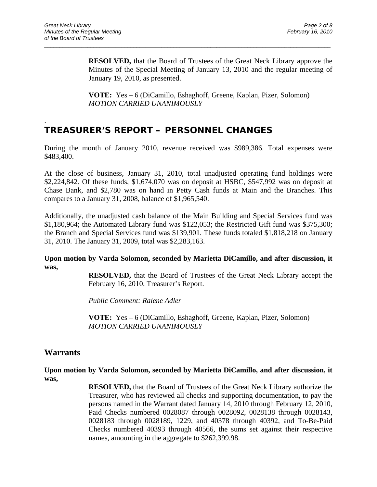.

**RESOLVED,** that the Board of Trustees of the Great Neck Library approve the Minutes of the Special Meeting of January 13, 2010 and the regular meeting of January 19, 2010, as presented.

 **VOTE:** Yes – 6 (DiCamillo, Eshaghoff, Greene, Kaplan, Pizer, Solomon)  *MOTION CARRIED UNANIMOUSLY* 

 $\overline{a}$  , and the contribution of the contribution of the contribution of the contribution of the contribution of the contribution of the contribution of the contribution of the contribution of the contribution of the co

## **TREASURER'S REPORT – PERSONNEL CHANGES**

During the month of January 2010, revenue received was \$989,386. Total expenses were \$483,400.

At the close of business, January 31, 2010, total unadjusted operating fund holdings were \$2,224,842. Of these funds, \$1,674,070 was on deposit at HSBC, \$547,992 was on deposit at Chase Bank, and \$2,780 was on hand in Petty Cash funds at Main and the Branches. This compares to a January 31, 2008, balance of \$1,965,540.

Additionally, the unadjusted cash balance of the Main Building and Special Services fund was \$1,180,964; the Automated Library fund was \$122,053; the Restricted Gift fund was \$375,300; the Branch and Special Services fund was \$139,901. These funds totaled \$1,818,218 on January 31, 2010. The January 31, 2009, total was \$2,283,163.

**Upon motion by Varda Solomon, seconded by Marietta DiCamillo, and after discussion, it was,** 

> **RESOLVED,** that the Board of Trustees of the Great Neck Library accept the February 16, 2010, Treasurer's Report.

*Public Comment: Ralene Adler* 

 **VOTE:** Yes – 6 (DiCamillo, Eshaghoff, Greene, Kaplan, Pizer, Solomon)  *MOTION CARRIED UNANIMOUSLY* 

## **Warrants**

**Upon motion by Varda Solomon, seconded by Marietta DiCamillo, and after discussion, it was,** 

> **RESOLVED,** that the Board of Trustees of the Great Neck Library authorize the Treasurer, who has reviewed all checks and supporting documentation, to pay the persons named in the Warrant dated January 14, 2010 through February 12, 2010, Paid Checks numbered 0028087 through 0028092, 0028138 through 0028143, 0028183 through 0028189, 1229, and 40378 through 40392, and To-Be-Paid Checks numbered 40393 through 40566, the sums set against their respective names, amounting in the aggregate to \$262,399.98.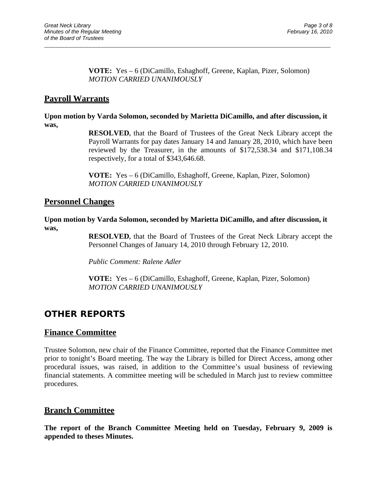#### **VOTE:** Yes – 6 (DiCamillo, Eshaghoff, Greene, Kaplan, Pizer, Solomon) *MOTION CARRIED UNANIMOUSLY*

## **Payroll Warrants**

#### **Upon motion by Varda Solomon, seconded by Marietta DiCamillo, and after discussion, it was,**

 $\overline{a}$  , and the contribution of the contribution of the contribution of the contribution of the contribution of the contribution of the contribution of the contribution of the contribution of the contribution of the co

**RESOLVED,** that the Board of Trustees of the Great Neck Library accept the Payroll Warrants for pay dates January 14 and January 28, 2010, which have been reviewed by the Treasurer, in the amounts of \$172,538.34 and \$171,108.34 respectively, for a total of \$343,646.68.

**VOTE:** Yes – 6 (DiCamillo, Eshaghoff, Greene, Kaplan, Pizer, Solomon) *MOTION CARRIED UNANIMOUSLY* 

### **Personnel Changes**

**Upon motion by Varda Solomon, seconded by Marietta DiCamillo, and after discussion, it was,** 

> **RESOLVED,** that the Board of Trustees of the Great Neck Library accept the Personnel Changes of January 14, 2010 through February 12, 2010.

*Public Comment: Ralene Adler* 

**VOTE:** Yes – 6 (DiCamillo, Eshaghoff, Greene, Kaplan, Pizer, Solomon) *MOTION CARRIED UNANIMOUSLY* 

# **OTHER REPORTS**

## **Finance Committee**

Trustee Solomon, new chair of the Finance Committee, reported that the Finance Committee met prior to tonight's Board meeting. The way the Library is billed for Direct Access, among other procedural issues, was raised, in addition to the Committee's usual business of reviewing financial statements. A committee meeting will be scheduled in March just to review committee procedures.

### **Branch Committee**

**The report of the Branch Committee Meeting held on Tuesday, February 9, 2009 is appended to theses Minutes.**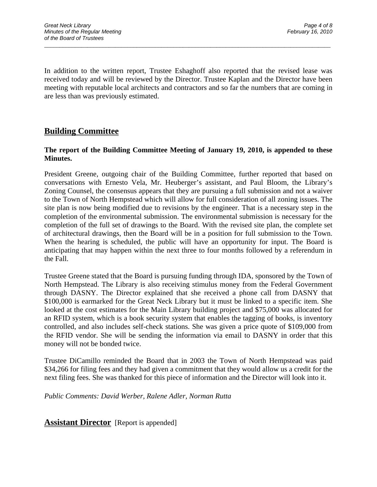In addition to the written report, Trustee Eshaghoff also reported that the revised lease was received today and will be reviewed by the Director. Trustee Kaplan and the Director have been meeting with reputable local architects and contractors and so far the numbers that are coming in are less than was previously estimated.

 $\overline{a}$  , and the contribution of the contribution of the contribution of the contribution of the contribution of the contribution of the contribution of the contribution of the contribution of the contribution of the co

## **Building Committee**

#### **The report of the Building Committee Meeting of January 19, 2010, is appended to these Minutes.**

President Greene, outgoing chair of the Building Committee, further reported that based on conversations with Ernesto Vela, Mr. Heuberger's assistant, and Paul Bloom, the Library's Zoning Counsel, the consensus appears that they are pursuing a full submission and not a waiver to the Town of North Hempstead which will allow for full consideration of all zoning issues. The site plan is now being modified due to revisions by the engineer. That is a necessary step in the completion of the environmental submission. The environmental submission is necessary for the completion of the full set of drawings to the Board. With the revised site plan, the complete set of architectural drawings, then the Board will be in a position for full submission to the Town. When the hearing is scheduled, the public will have an opportunity for input. The Board is anticipating that may happen within the next three to four months followed by a referendum in the Fall.

Trustee Greene stated that the Board is pursuing funding through IDA, sponsored by the Town of North Hempstead. The Library is also receiving stimulus money from the Federal Government through DASNY. The Director explained that she received a phone call from DASNY that \$100,000 is earmarked for the Great Neck Library but it must be linked to a specific item. She looked at the cost estimates for the Main Library building project and \$75,000 was allocated for an RFID system, which is a book security system that enables the tagging of books, is inventory controlled, and also includes self-check stations. She was given a price quote of \$109,000 from the RFID vendor. She will be sending the information via email to DASNY in order that this money will not be bonded twice.

Trustee DiCamillo reminded the Board that in 2003 the Town of North Hempstead was paid \$34,266 for filing fees and they had given a commitment that they would allow us a credit for the next filing fees. She was thanked for this piece of information and the Director will look into it.

*Public Comments: David Werber, Ralene Adler, Norman Rutta* 

**Assistant Director** [Report is appended]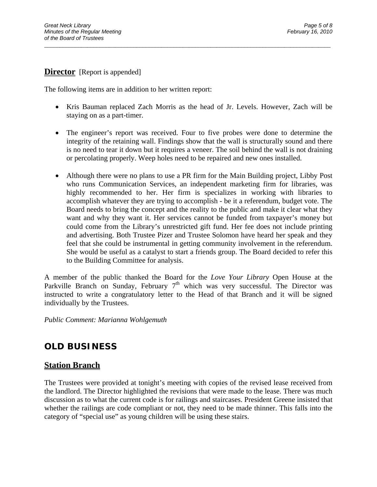### **Director** [Report is appended]

The following items are in addition to her written report:

 Kris Bauman replaced Zach Morris as the head of Jr. Levels. However, Zach will be staying on as a part-timer.

 $\overline{a}$  , and the contribution of the contribution of the contribution of the contribution of the contribution of the contribution of the contribution of the contribution of the contribution of the contribution of the co

- The engineer's report was received. Four to five probes were done to determine the integrity of the retaining wall. Findings show that the wall is structurally sound and there is no need to tear it down but it requires a veneer. The soil behind the wall is not draining or percolating properly. Weep holes need to be repaired and new ones installed.
- Although there were no plans to use a PR firm for the Main Building project, Libby Post who runs Communication Services, an independent marketing firm for libraries, was highly recommended to her. Her firm is specializes in working with libraries to accomplish whatever they are trying to accomplish - be it a referendum, budget vote. The Board needs to bring the concept and the reality to the public and make it clear what they want and why they want it. Her services cannot be funded from taxpayer's money but could come from the Library's unrestricted gift fund. Her fee does not include printing and advertising. Both Trustee Pizer and Trustee Solomon have heard her speak and they feel that she could be instrumental in getting community involvement in the referendum. She would be useful as a catalyst to start a friends group. The Board decided to refer this to the Building Committee for analysis.

A member of the public thanked the Board for the *Love Your Library* Open House at the Parkville Branch on Sunday, February  $7<sup>th</sup>$  which was very successful. The Director was instructed to write a congratulatory letter to the Head of that Branch and it will be signed individually by the Trustees.

*Public Comment: Marianna Wohlgemuth* 

## **OLD BUSINESS**

#### **Station Branch**

The Trustees were provided at tonight's meeting with copies of the revised lease received from the landlord. The Director highlighted the revisions that were made to the lease. There was much discussion as to what the current code is for railings and staircases. President Greene insisted that whether the railings are code compliant or not, they need to be made thinner. This falls into the category of "special use" as young children will be using these stairs.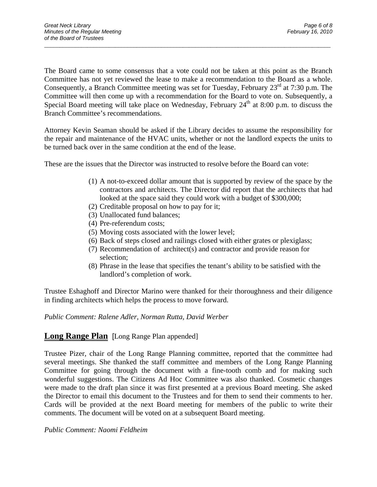The Board came to some consensus that a vote could not be taken at this point as the Branch Committee has not yet reviewed the lease to make a recommendation to the Board as a whole. Consequently, a Branch Committee meeting was set for Tuesday, February 23<sup>rd</sup> at 7:30 p.m. The Committee will then come up with a recommendation for the Board to vote on. Subsequently, a Special Board meeting will take place on Wednesday, February  $24<sup>th</sup>$  at 8:00 p.m. to discuss the Branch Committee's recommendations.

 $\overline{a}$  , and the contribution of the contribution of the contribution of the contribution of the contribution of the contribution of the contribution of the contribution of the contribution of the contribution of the co

Attorney Kevin Seaman should be asked if the Library decides to assume the responsibility for the repair and maintenance of the HVAC units, whether or not the landlord expects the units to be turned back over in the same condition at the end of the lease.

These are the issues that the Director was instructed to resolve before the Board can vote:

- (1) A not-to-exceed dollar amount that is supported by review of the space by the contractors and architects. The Director did report that the architects that had looked at the space said they could work with a budget of \$300,000;
- (2) Creditable proposal on how to pay for it;
- (3) Unallocated fund balances;
- (4) Pre-referendum costs;
- (5) Moving costs associated with the lower level;
- (6) Back of steps closed and railings closed with either grates or plexiglass;
- (7) Recommendation of architect(s) and contractor and provide reason for selection;
- (8) Phrase in the lease that specifies the tenant's ability to be satisfied with the landlord's completion of work.

Trustee Eshaghoff and Director Marino were thanked for their thoroughness and their diligence in finding architects which helps the process to move forward.

*Public Comment: Ralene Adler, Norman Rutta, David Werber* 

### **Long Range Plan** [Long Range Plan appended]

Trustee Pizer, chair of the Long Range Planning committee, reported that the committee had several meetings. She thanked the staff committee and members of the Long Range Planning Committee for going through the document with a fine-tooth comb and for making such wonderful suggestions. The Citizens Ad Hoc Committee was also thanked. Cosmetic changes were made to the draft plan since it was first presented at a previous Board meeting. She asked the Director to email this document to the Trustees and for them to send their comments to her. Cards will be provided at the next Board meeting for members of the public to write their comments. The document will be voted on at a subsequent Board meeting.

*Public Comment: Naomi Feldheim*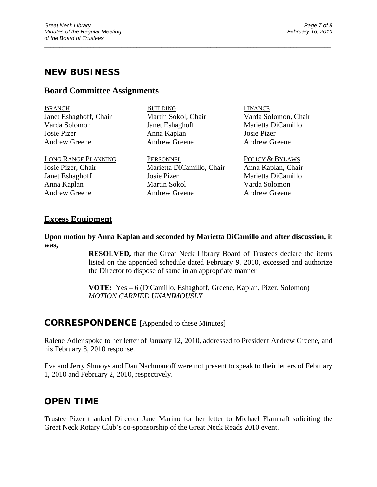## **NEW BUSINESS**

### **Board Committee Assignments**

BRANCH BUILDING FINANCE Janet Eshaghoff, Chair Martin Sokol, Chair Varda Solomon, Chair Varda Solomon Janet Eshaghoff Marietta DiCamillo Josie Pizer Anna Kaplan Josie Pizer Andrew Greene Andrew Greene Andrew Greene

 $\overline{a}$  , and the contribution of the contribution of the contribution of the contribution of the contribution of the contribution of the contribution of the contribution of the contribution of the contribution of the co

LONG RANGE PLANNING PERSONNEL PERSONNEL POLICY & BYLAWS Josie Pizer, Chair Marietta DiCamillo, Chair Anna Kaplan, Chair Janet Eshaghoff Josie Pizer Marietta DiCamillo Anna Kaplan Martin Sokol Varda Solomon Andrew Greene Andrew Greene Andrew Greene

### **Excess Equipment**

**Upon motion by Anna Kaplan and seconded by Marietta DiCamillo and after discussion, it was,** 

> **RESOLVED,** that the Great Neck Library Board of Trustees declare the items listed on the appended schedule dated February 9, 2010, excessed and authorize the Director to dispose of same in an appropriate manner

 **VOTE:** Yes **–** 6 (DiCamillo, Eshaghoff, Greene, Kaplan, Pizer, Solomon)  *MOTION CARRIED UNANIMOUSLY* 

### **CORRESPONDENCE** [Appended to these Minutes]

Ralene Adler spoke to her letter of January 12, 2010, addressed to President Andrew Greene, and his February 8, 2010 response.

Eva and Jerry Shmoys and Dan Nachmanoff were not present to speak to their letters of February 1, 2010 and February 2, 2010, respectively.

## **OPEN TIME**

Trustee Pizer thanked Director Jane Marino for her letter to Michael Flamhaft soliciting the Great Neck Rotary Club's co-sponsorship of the Great Neck Reads 2010 event.